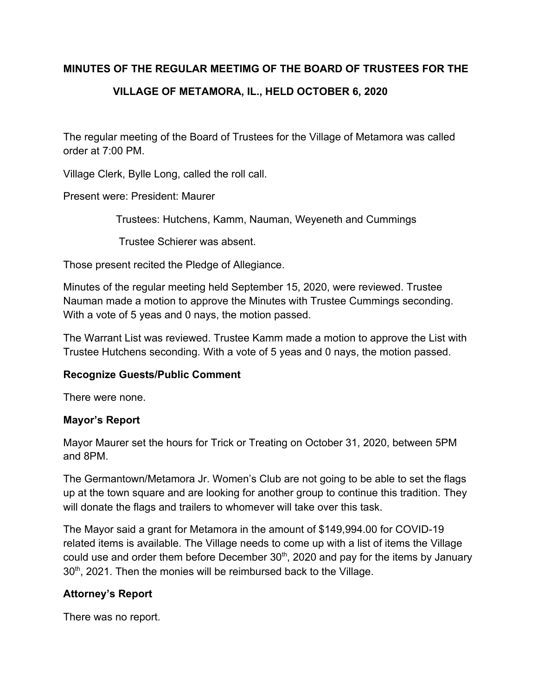## **MINUTES OF THE REGULAR MEETIMG OF THE BOARD OF TRUSTEES FOR THE**

# **VILLAGE OF METAMORA, IL., HELD OCTOBER 6, 2020**

The regular meeting of the Board of Trustees for the Village of Metamora was called order at 7:00 PM.

Village Clerk, Bylle Long, called the roll call.

Present were: President: Maurer

Trustees: Hutchens, Kamm, Nauman, Weyeneth and Cummings

Trustee Schierer was absent.

Those present recited the Pledge of Allegiance.

Minutes of the regular meeting held September 15, 2020, were reviewed. Trustee Nauman made a motion to approve the Minutes with Trustee Cummings seconding. With a vote of 5 yeas and 0 nays, the motion passed.

The Warrant List was reviewed. Trustee Kamm made a motion to approve the List with Trustee Hutchens seconding. With a vote of 5 yeas and 0 nays, the motion passed.

#### **Recognize Guests/Public Comment**

There were none.

#### **Mayor's Report**

Mayor Maurer set the hours for Trick or Treating on October 31, 2020, between 5PM and 8PM.

The Germantown/Metamora Jr. Women's Club are not going to be able to set the flags up at the town square and are looking for another group to continue this tradition. They will donate the flags and trailers to whomever will take over this task.

The Mayor said a grant for Metamora in the amount of \$149,994.00 for COVID-19 related items is available. The Village needs to come up with a list of items the Village could use and order them before December  $30<sup>th</sup>$ , 2020 and pay for the items by January 30<sup>th</sup>, 2021. Then the monies will be reimbursed back to the Village.

## **Attorney's Report**

There was no report.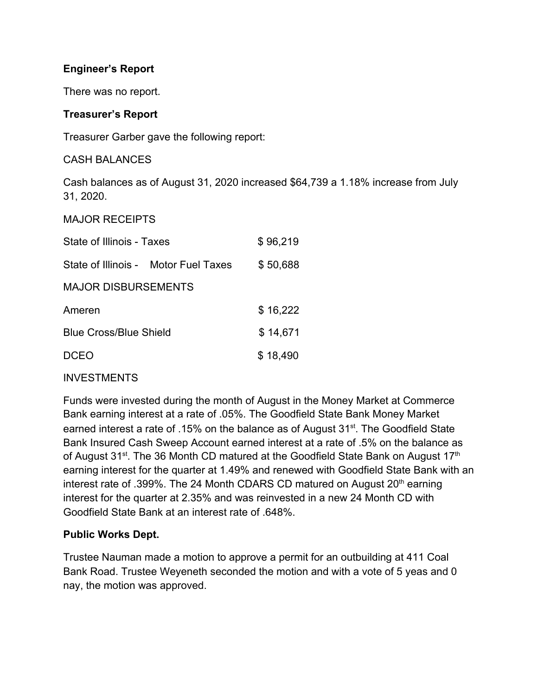## **Engineer's Report**

There was no report.

## **Treasurer's Report**

Treasurer Garber gave the following report:

CASH BALANCES

Cash balances as of August 31, 2020 increased \$64,739 a 1.18% increase from July 31, 2020.

MAJOR RECEIPTS

| State of Illinois - Taxes     |                                      | \$96,219 |
|-------------------------------|--------------------------------------|----------|
|                               | State of Illinois - Motor Fuel Taxes | \$50,688 |
| <b>MAJOR DISBURSEMENTS</b>    |                                      |          |
| Ameren                        |                                      | \$16,222 |
| <b>Blue Cross/Blue Shield</b> |                                      | \$14,671 |
| <b>DCEO</b>                   |                                      | \$18,490 |

## INVESTMENTS

Funds were invested during the month of August in the Money Market at Commerce Bank earning interest at a rate of .05%. The Goodfield State Bank Money Market earned interest a rate of .15% on the balance as of August 31<sup>st</sup>. The Goodfield State Bank Insured Cash Sweep Account earned interest at a rate of .5% on the balance as of August 31<sup>st</sup>. The 36 Month CD matured at the Goodfield State Bank on August 17<sup>th</sup> earning interest for the quarter at 1.49% and renewed with Goodfield State Bank with an interest rate of .399%. The 24 Month CDARS CD matured on August 20<sup>th</sup> earning interest for the quarter at 2.35% and was reinvested in a new 24 Month CD with Goodfield State Bank at an interest rate of .648%.

#### **Public Works Dept.**

Trustee Nauman made a motion to approve a permit for an outbuilding at 411 Coal Bank Road. Trustee Weyeneth seconded the motion and with a vote of 5 yeas and 0 nay, the motion was approved.